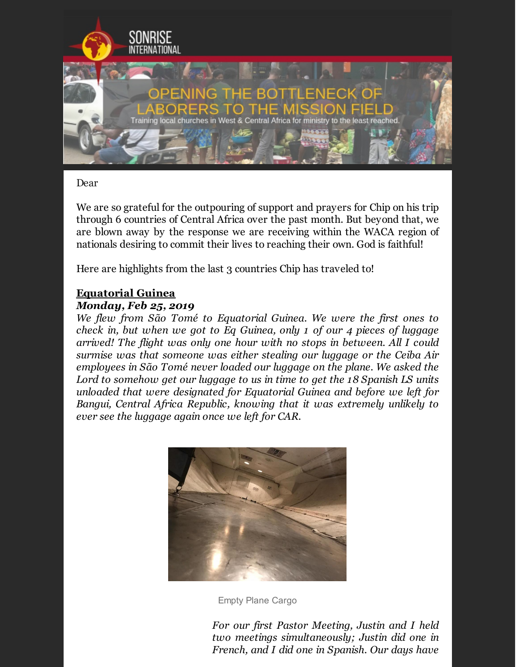

#### Dear

We are so grateful for the outpouring of support and prayers for Chip on his trip through 6 countries of Central Africa over the past month. But beyond that, we are blown away by the response we are receiving within the WACA region of nationals desiring to commit their lives to reaching their own. God is faithful!

Here are highlights from the last 3 countries Chip has traveled to!

# **Equatorial Guinea**

#### *Monday, Feb 25, 2019*

*We flew from São Tomé to Equatorial Guinea. We were the first ones to check in, but when we got to Eq Guinea, only 1 of our 4 pieces of luggage arrived! The flight was only one hour with no stops in between. All I could surmise was that someone was either stealing our luggage or the Ceiba Air employees in São Tomé never loaded our luggage on the plane. We asked the Lord to somehow get our luggage to us in time to get the 18 Spanish LS units unloaded that were designated for Equatorial Guinea and before we left for Bangui, Central Africa Republic, knowing that it was extremely unlikely to ever see the luggage again once we left for CAR.*



Empty Plane Cargo

*For our first Pastor Meeting, Justin and I held two meetings simultaneously; Justin did one in French, and I did one in Spanish. Our days have*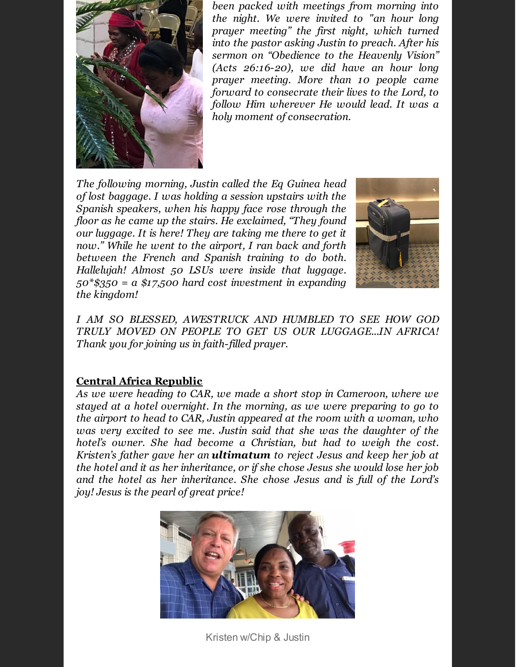

*been packed with meetings from morning into the night. We were invited to "an hour long prayer meeting" the first night, which turned into the pastor asking Justin to preach. After his sermon on "Obedience to the Heavenly Vision" (Acts 26:16-20), we did have an hour long prayer meeting. More than 10 people came forward to consecrate their lives to the Lord, to follow Him wherever He would lead. It was a holy moment of consecration.*

*The following morning, Justin called the Eq Guinea head of lost baggage. I was holding a session upstairs with the Spanish speakers, when his happy face rose through the floor as he came up the stairs. He exclaimed, "They found our luggage. It is here! They are taking me there to get it now." While he went to the airport, I ran back and forth between the French and Spanish training to do both. Hallelujah! Almost 50 LSUs were inside that luggage. 50\*\$350 = a \$17,500 hard cost investment in expanding the kingdom!*



*I AM SO BLESSED, AWESTRUCK AND HUMBLED TO SEE HOW GOD TRULY MOVED ON PEOPLE TO GET US OUR LUGGAGE...IN AFRICA! Thank you for joining us in faith-filled prayer.*

## **Central Africa Republic**

*As we were heading to CAR, we made a short stop in Cameroon, where we stayed at a hotel overnight. In the morning, as we were preparing to go to the airport to head to CAR, Justin appeared at the room with a woman, who was very excited to see me. Justin said that she was the daughter of the hotel's owner. She had become a Christian, but had to weigh the cost. Kristen's father gave her an ultimatum to reject Jesus and keep her job at the hotel and it as her inheritance, or if she chose Jesus she would lose her job and the hotel as her inheritance. She chose Jesus and is full of the Lord's joy! Jesus is the pearl of great price!*



Kristen w/Chip & Justin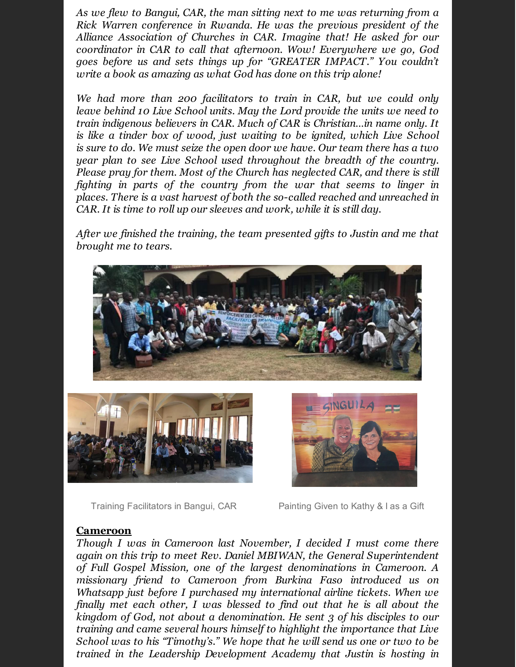*As we flew to Bangui, CAR, the man sitting next to me was returning from a Rick Warren conference in Rwanda. He was the previous president of the Alliance Association of Churches in CAR. Imagine that! He asked for our coordinator in CAR to call that afternoon. Wow! Everywhere we go, God goes before us and sets things up for "GREATER IMPACT." You couldn't write a book as amazing as what God has done on this trip alone!*

*We had more than 200 facilitators to train in CAR, but we could only leave behind 10 Live School units. May the Lord provide the units we need to train indigenous believers in CAR. Much of CAR is Christian…in name only. It is like a tinder box of wood, just waiting to be ignited, which Live School is sure to do. We must seize the open door we have. Our team there has a two year plan to see Live School used throughout the breadth of the country. Please pray for them. Most of the Church has neglected CAR, and there is still fighting in parts of the country from the war that seems to linger in places. There is a vast harvest of both the so-called reached and unreached in CAR. It is time to roll up our sleeves and work, while it is still day.*

*After we finished the training, the team presented gifts to Justin and me that brought me to tears.*



Training Facilitators in Bangui, CAR Painting Given to Kathy & I as a Gift

### **Cameroon**

*Though I was in Cameroon last November, I decided I must come there again on this trip to meet Rev. Daniel MBIWAN, the General Superintendent of Full Gospel Mission, one of the largest denominations in Cameroon. A missionary friend to Cameroon from Burkina Faso introduced us on Whatsapp just before I purchased my international airline tickets. When we finally met each other, I was blessed to find out that he is all about the kingdom of God, not about a denomination. He sent 3 of his disciples to our training and came several hours himself to highlight the importance that Live School was to his "Timothy's." We hope that he will send us one or two to be trained in the Leadership Development Academy that Justin is hosting in*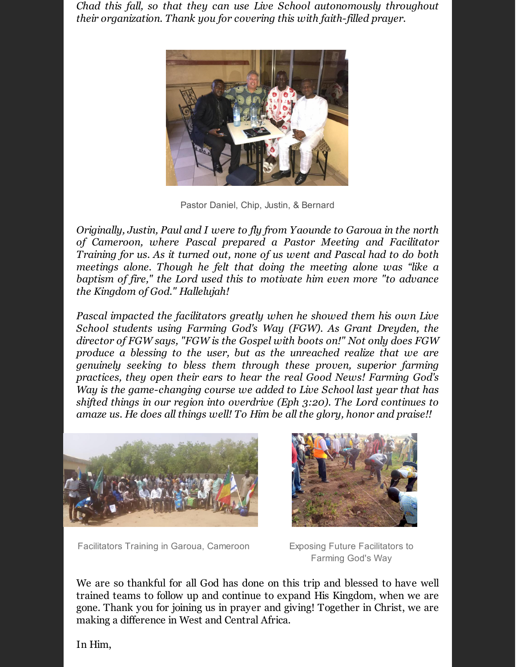*Chad this fall, so that they can use Live School autonomously throughout their organization. Thank you for covering this with faith-filled prayer.*



Pastor Daniel, Chip, Justin, & Bernard

*Originally, Justin, Paul and I were to fly from Yaounde to Garoua in the north of Cameroon, where Pascal prepared a Pastor Meeting and Facilitator Training for us. As it turned out, none of us went and Pascal had to do both meetings alone. Though he felt that doing the meeting alone was "like a baptism of fire," the Lord used this to motivate him even more "to advance the Kingdom of God." Hallelujah!*

*Pascal impacted the facilitators greatly when he showed them his own Live School students using Farming God's Way (FGW). As Grant Dreyden, the director of FGW says, "FGW is the Gospel with boots on!" Not only does FGW produce a blessing to the user, but as the unreached realize that we are genuinely seeking to bless them through these proven, superior farming practices, they open their ears to hear the real Good News! Farming God's Way is the game-changing course we added to Live School last year that has shifted things in our region into overdrive (Eph 3:20). The Lord continues to amaze us. He does all things well! To Him be all the glory, honor and praise!!*



Facilitators Training in Garoua, Cameroon Exposing Future Facilitators to



Farming God's Way

We are so thankful for all God has done on this trip and blessed to have well trained teams to follow up and continue to expand His Kingdom, when we are gone. Thank you for joining us in prayer and giving! Together in Christ, we are making a difference in West and Central Africa.

In Him,